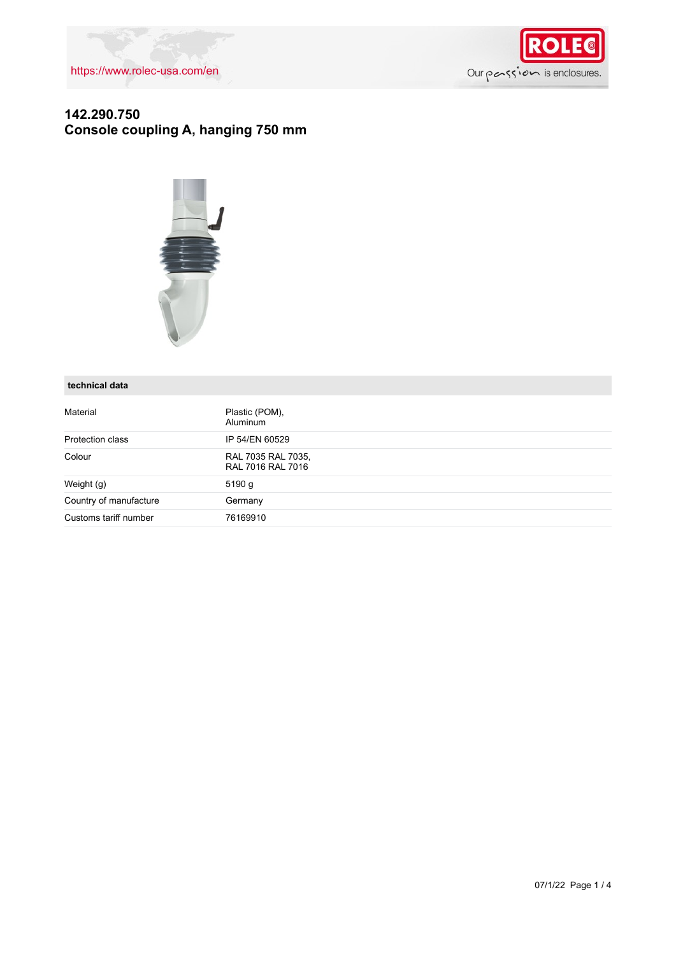

## **142.290.750 Console coupling A, hanging 750 mm**



#### **technical data**

| Material               | Plastic (POM),<br><b>Aluminum</b>       |
|------------------------|-----------------------------------------|
| Protection class       | IP 54/EN 60529                          |
| Colour                 | RAL 7035 RAL 7035,<br>RAL 7016 RAL 7016 |
| Weight (g)             | 5190 g                                  |
| Country of manufacture | Germany                                 |
| Customs tariff number  | 76169910                                |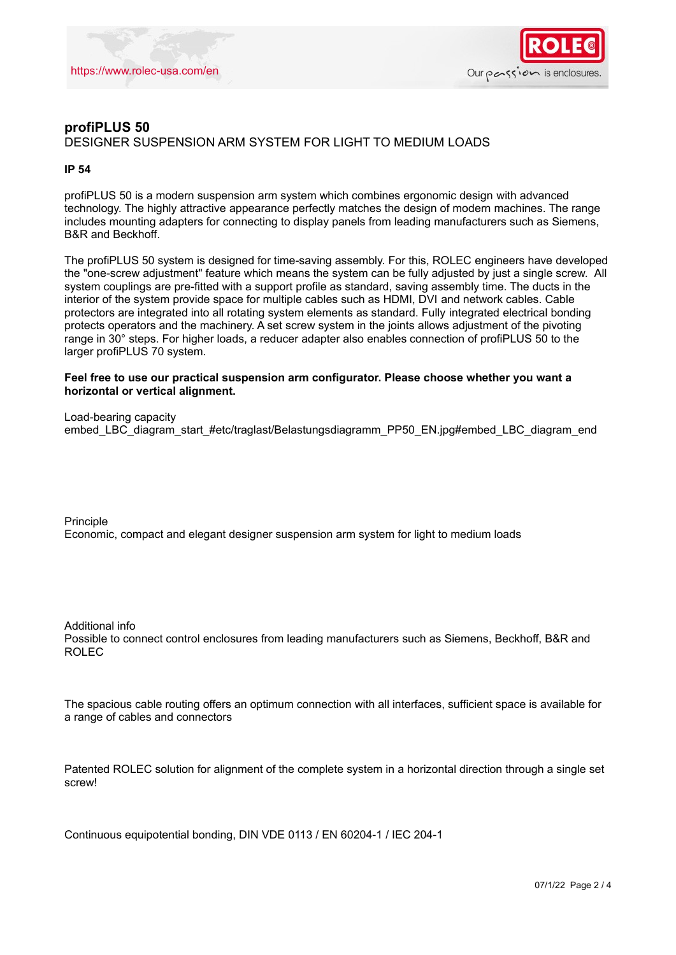



## **profiPLUS 50** DESIGNER SUSPENSION ARM SYSTEM FOR LIGHT TO MEDIUM LOADS

#### **IP 54**

profiPLUS 50 is a modern suspension arm system which combines ergonomic design with advanced technology. The highly attractive appearance perfectly matches the design of modern machines. The range includes mounting adapters for connecting to display panels from leading manufacturers such as Siemens, B&R and Beckhoff.

The profiPLUS 50 system is designed for time-saving assembly. For this, ROLEC engineers have developed the "one-screw adjustment" feature which means the system can be fully adjusted by just a single screw. All system couplings are pre-fitted with a support profile as standard, saving assembly time. The ducts in the interior of the system provide space for multiple cables such as HDMI, DVI and network cables. Cable protectors are integrated into all rotating system elements as standard. Fully integrated electrical bonding protects operators and the machinery. A set screw system in the joints allows adjustment of the pivoting range in 30° steps. For higher loads, a reducer adapter also enables connection of profiPLUS 50 to the larger profiPLUS 70 system.

#### **Feel free to use our practical suspension arm configurator. Please choose whether you want a horizontal or vertical alignment.**

Load-bearing capacity embed\_LBC\_diagram\_start\_#etc/traglast/Belastungsdiagramm\_PP50\_EN.jpg#embed\_LBC\_diagram\_end

Principle Economic, compact and elegant designer suspension arm system for light to medium loads

Additional info Possible to connect control enclosures from leading manufacturers such as Siemens, Beckhoff, B&R and ROLEC

The spacious cable routing offers an optimum connection with all interfaces, sufficient space is available for a range of cables and connectors

Patented ROLEC solution for alignment of the complete system in a horizontal direction through a single set screw!

Continuous equipotential bonding, DIN VDE 0113 / EN 60204-1 / IEC 204-1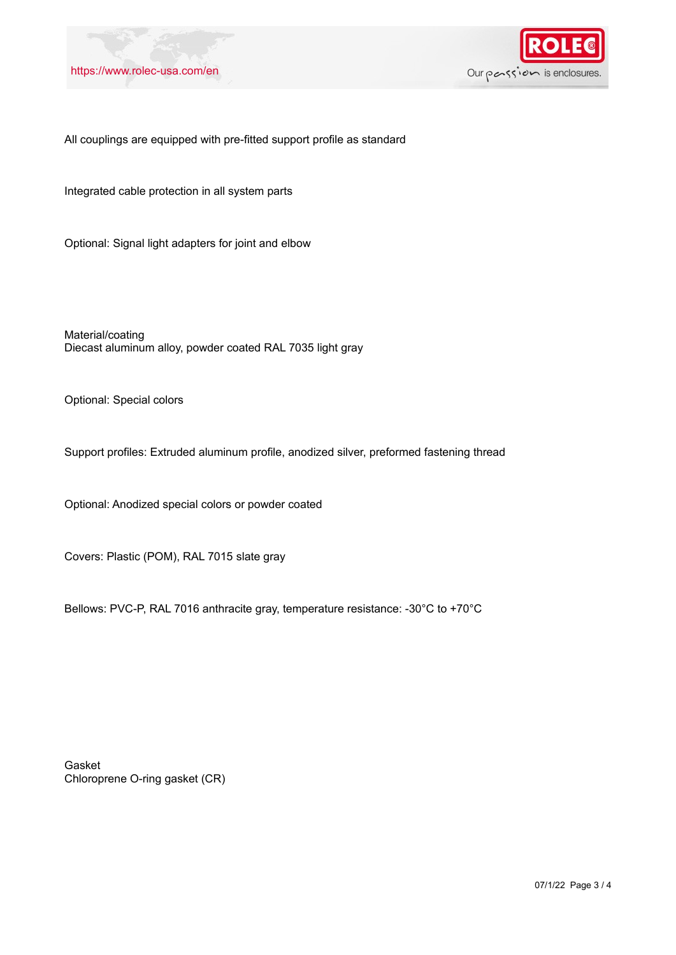



#### All couplings are equipped with pre-fitted support profile as standard

Integrated cable protection in all system parts

Optional: Signal light adapters for joint and elbow

Material/coating Diecast aluminum alloy, powder coated RAL 7035 light gray

Optional: Special colors

Support profiles: Extruded aluminum profile, anodized silver, preformed fastening thread

Optional: Anodized special colors or powder coated

Covers: Plastic (POM), RAL 7015 slate gray

Bellows: PVC-P, RAL 7016 anthracite gray, temperature resistance: -30°C to +70°C

Gasket Chloroprene O-ring gasket (CR)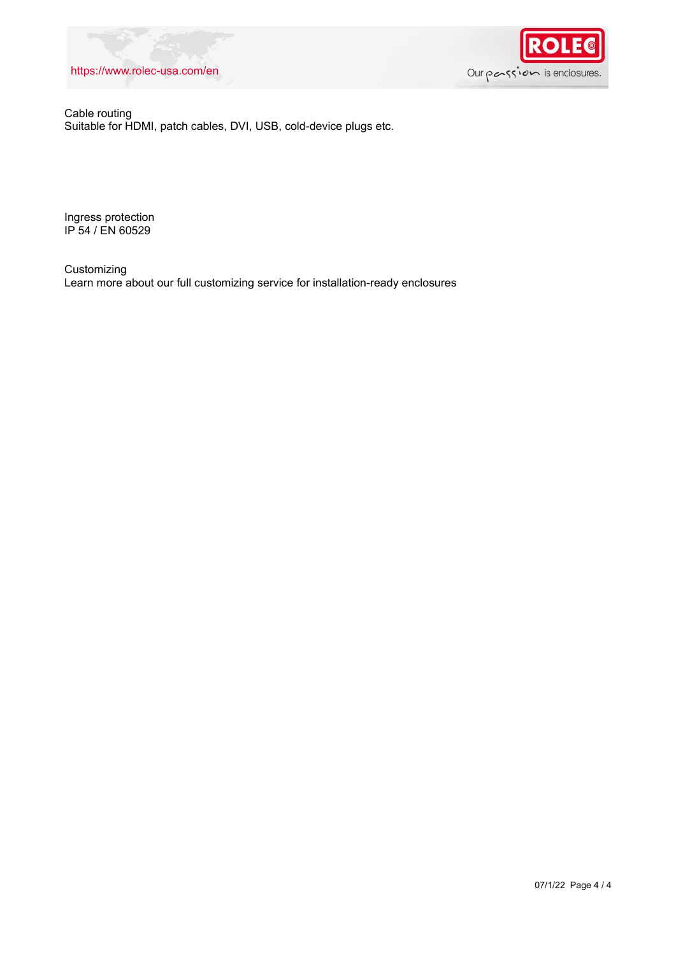### <https://www.rolec-usa.com/en>



Cable routing Suitable for HDMI, patch cables, DVI, USB, cold-device plugs etc.

Ingress protection IP 54 / EN 60529

Customizing Learn more about our full customizing service for installation-ready enclosures